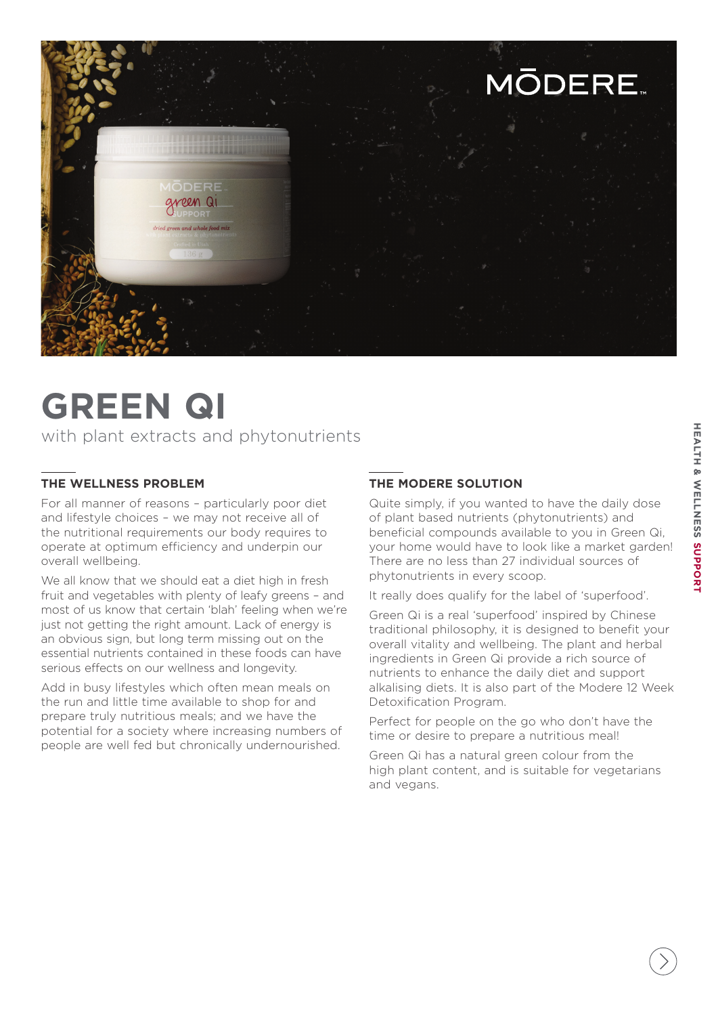

# **GREEN QI**

with plant extracts and phytonutrients

### **THE WELLNESS PROBLEM**

For all manner of reasons – particularly poor diet and lifestyle choices – we may not receive all of the nutritional requirements our body requires to operate at optimum efficiency and underpin our overall wellbeing.

We all know that we should eat a diet high in fresh fruit and vegetables with plenty of leafy greens – and most of us know that certain 'blah' feeling when we're just not getting the right amount. Lack of energy is an obvious sign, but long term missing out on the essential nutrients contained in these foods can have serious effects on our wellness and longevity.

Add in busy lifestyles which often mean meals on the run and little time available to shop for and prepare truly nutritious meals; and we have the potential for a society where increasing numbers of people are well fed but chronically undernourished.

#### **THE MODERE SOLUTION**

Quite simply, if you wanted to have the daily dose of plant based nutrients (phytonutrients) and beneficial compounds available to you in Green Qi, your home would have to look like a market garden! There are no less than 27 individual sources of phytonutrients in every scoop.

It really does qualify for the label of 'superfood'.

Green Qi is a real 'superfood' inspired by Chinese traditional philosophy, it is designed to benefit your overall vitality and wellbeing. The plant and herbal ingredients in Green Qi provide a rich source of nutrients to enhance the daily diet and support alkalising diets. It is also part of the Modere 12 Week Detoxification Program.

Perfect for people on the go who don't have the time or desire to prepare a nutritious meal!

Green Qi has a natural green colour from the high plant content, and is suitable for vegetarians and vegans.